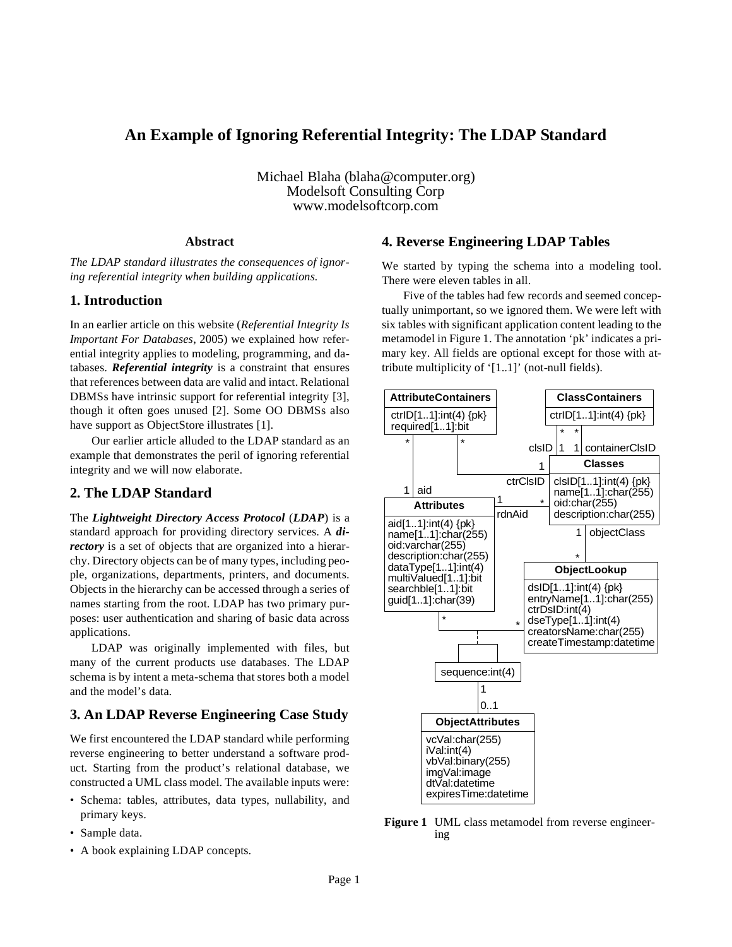## **An Example of Ignoring Referential Integrity: The LDAP Standard**

Michael Blaha (blaha@computer.org) Modelsoft Consulting Corp www.modelsoftcorp.com

#### **Abstract**

*The LDAP standard illustrates the consequences of ignoring referential integrity when building applications.*

### **1. Introduction**

In an earlier article on this website (*Referential Integrity Is Important For Databases*, 2005) we explained how referential integrity applies to modeling, programming, and databases. *Referential integrity* is a constraint that ensures that references between data are valid and intact. Relational DBMSs have intrinsic support for referential integrity [3], though it often goes unused [2]. Some OO DBMSs also have support as ObjectStore illustrates [1].

Our earlier article alluded to the LDAP standard as an example that demonstrates the peril of ignoring referential integrity and we will now elaborate.

### **2. The LDAP Standard**

The *Lightweight Directory Access Protocol* (*LDAP*) is a standard approach for providing directory services. A *directory* is a set of objects that are organized into a hierarchy. Directory objects can be of many types, including people, organizations, departments, printers, and documents. Objects in the hierarchy can be accessed through a series of names starting from the root. LDAP has two primary purposes: user authentication and sharing of basic data across applications.

LDAP was originally implemented with files, but many of the current products use databases. The LDAP schema is by intent a meta-schema that stores both a model and the model's data.

### **3. An LDAP Reverse Engineering Case Study**

We first encountered the LDAP standard while performing reverse engineering to better understand a software product. Starting from the product's relational database, we constructed a UML class model. The available inputs were:

- Schema: tables, attributes, data types, nullability, and primary keys.
- Sample data.
- A book explaining LDAP concepts.

### **4. Reverse Engineering LDAP Tables**

We started by typing the schema into a modeling tool. There were eleven tables in all.

Five of the tables had few records and seemed conceptually unimportant, so we ignored them. We were left with six tables with significant application content leading to the metamodel in Figure 1. The annotation 'pk' indicates a primary key. All fields are optional except for those with attribute multiplicity of '[1..1]' (not-null fields).



**Figure 1** UML class metamodel from reverse engineering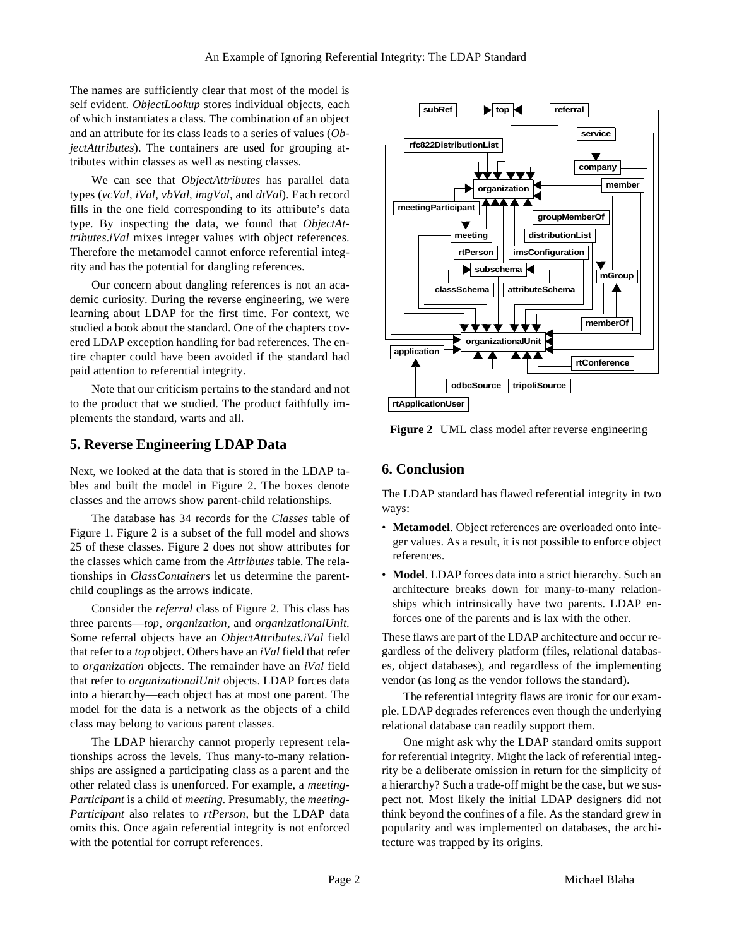The names are sufficiently clear that most of the model is self evident. *ObjectLookup* stores individual objects, each of which instantiates a class. The combination of an object and an attribute for its class leads to a series of values (*ObjectAttributes*). The containers are used for grouping attributes within classes as well as nesting classes.

We can see that *ObjectAttributes* has parallel data types (*vcVal*, *iVal*, *vbVal*, *imgVal*, and *dtVal*). Each record fills in the one field corresponding to its attribute's data type. By inspecting the data, we found that *ObjectAttributes*.*iVal* mixes integer values with object references. Therefore the metamodel cannot enforce referential integrity and has the potential for dangling references.

Our concern about dangling references is not an academic curiosity. During the reverse engineering, we were learning about LDAP for the first time. For context, we studied a book about the standard. One of the chapters covered LDAP exception handling for bad references. The entire chapter could have been avoided if the standard had paid attention to referential integrity.

Note that our criticism pertains to the standard and not to the product that we studied. The product faithfully implements the standard, warts and all.

### **5. Reverse Engineering LDAP Data**

Next, we looked at the data that is stored in the LDAP tables and built the model in Figure 2. The boxes denote classes and the arrows show parent-child relationships.

The database has 34 records for the *Classes* table of Figure 1. Figure 2 is a subset of the full model and shows 25 of these classes. Figure 2 does not show attributes for the classes which came from the *Attributes* table. The relationships in *ClassContainers* let us determine the parentchild couplings as the arrows indicate.

Consider the *referral* class of Figure 2. This class has three parents—*top*, *organization*, and *organizationalUnit*. Some referral objects have an *ObjectAttributes.iVal* field that refer to a *top* object. Others have an *iVal* field that refer to *organization* objects. The remainder have an *iVal* field that refer to *organizationalUnit* objects. LDAP forces data into a hierarchy—each object has at most one parent. The model for the data is a network as the objects of a child class may belong to various parent classes.

The LDAP hierarchy cannot properly represent relationships across the levels. Thus many-to-many relationships are assigned a participating class as a parent and the other related class is unenforced. For example, a *meeting-Participant* is a child of *meeting*. Presumably, the *meeting-Participant* also relates to *rtPerson*, but the LDAP data omits this. Once again referential integrity is not enforced with the potential for corrupt references.



Figure 2 UML class model after reverse engineering

## **6. Conclusion**

The LDAP standard has flawed referential integrity in two ways:

- **Metamodel**. Object references are overloaded onto integer values. As a result, it is not possible to enforce object references.
- **Model**. LDAP forces data into a strict hierarchy. Such an architecture breaks down for many-to-many relationships which intrinsically have two parents. LDAP enforces one of the parents and is lax with the other.

These flaws are part of the LDAP architecture and occur regardless of the delivery platform (files, relational databases, object databases), and regardless of the implementing vendor (as long as the vendor follows the standard).

The referential integrity flaws are ironic for our example. LDAP degrades references even though the underlying relational database can readily support them.

One might ask why the LDAP standard omits support for referential integrity. Might the lack of referential integrity be a deliberate omission in return for the simplicity of a hierarchy? Such a trade-off might be the case, but we suspect not. Most likely the initial LDAP designers did not think beyond the confines of a file. As the standard grew in popularity and was implemented on databases, the architecture was trapped by its origins.